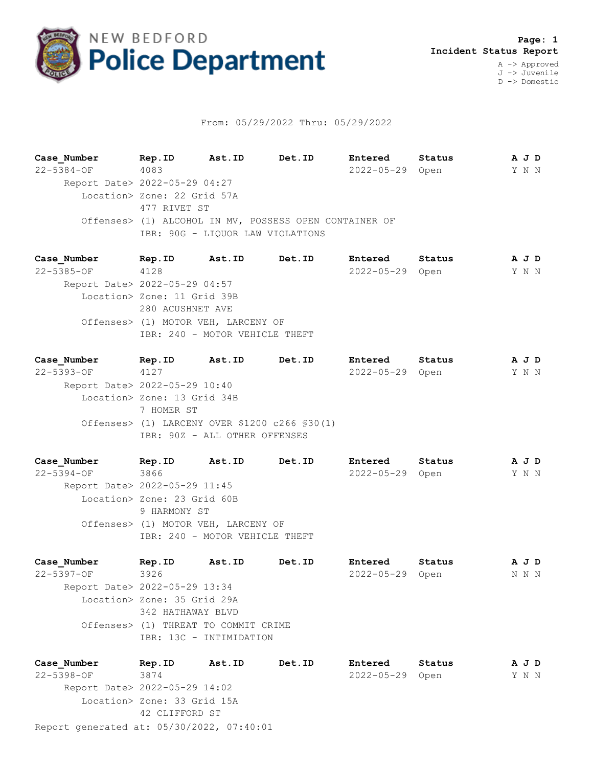

## From: 05/29/2022 Thru: 05/29/2022

**Case\_Number Rep.ID Ast.ID Det.ID Entered Status A J D** 22-5384-OF 4083 2022-05-29 Open Y N N Report Date> 2022-05-29 04:27 Location> Zone: 22 Grid 57A 477 RIVET ST Offenses> (1) ALCOHOL IN MV, POSSESS OPEN CONTAINER OF IBR: 90G - LIQUOR LAW VIOLATIONS

**Case\_Number Rep.ID Ast.ID Det.ID Entered Status A J D** 22-5385-OF 4128 2022-05-29 Open Y N N Report Date> 2022-05-29 04:57 Location> Zone: 11 Grid 39B 280 ACUSHNET AVE Offenses> (1) MOTOR VEH, LARCENY OF IBR: 240 - MOTOR VEHICLE THEFT

**Case\_Number Rep.ID Ast.ID Det.ID Entered Status A J D** 22-5393-OF 4127 2022-05-29 Open Y N N Report Date> 2022-05-29 10:40 Location> Zone: 13 Grid 34B 7 HOMER ST Offenses> (1) LARCENY OVER \$1200 c266 §30(1) IBR: 90Z - ALL OTHER OFFENSES

**Case\_Number Rep.ID Ast.ID Det.ID Entered Status A J D** 22-5394-OF 3866 2022-05-29 Open Y N N Report Date> 2022-05-29 11:45 Location> Zone: 23 Grid 60B 9 HARMONY ST Offenses> (1) MOTOR VEH, LARCENY OF IBR: 240 - MOTOR VEHICLE THEFT

**Case\_Number Rep.ID Ast.ID Det.ID Entered Status A J D** 22-5397-OF 3926 2022-05-29 Open N N N Report Date> 2022-05-29 13:34 Location> Zone: 35 Grid 29A 342 HATHAWAY BLVD Offenses> (1) THREAT TO COMMIT CRIME IBR: 13C - INTIMIDATION

Report generated at: 05/30/2022, 07:40:01 **Case\_Number Rep.ID Ast.ID Det.ID Entered Status A J D** 22-5398-OF 3874 2022-05-29 Open Y N N Report Date> 2022-05-29 14:02 Location> Zone: 33 Grid 15A 42 CLIFFORD ST